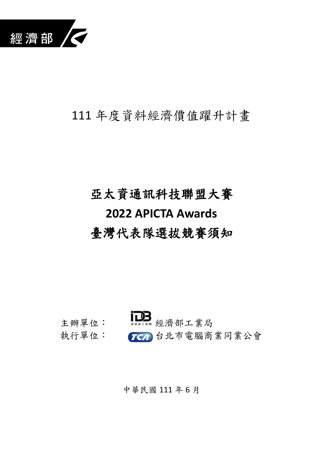

## 111 年度資料經濟價值躍升計畫

# 亞太資通訊科技聯盟大賽 **2022 APICTA Awards** 臺灣代表隊選拔競賽須知



## 中華民國 111 年 6 月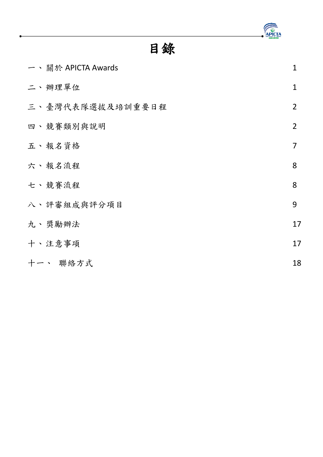

## 目錄

|  | 一、關於 APICTA Awards | 1              |
|--|--------------------|----------------|
|  | 二、辦理單位             | $\mathbf 1$    |
|  | 三、臺灣代表隊選拔及培訓重要日程   | $\overline{2}$ |
|  | 四、競賽類別與說明          | $\overline{2}$ |
|  | 五、報名資格             | $\overline{7}$ |
|  | 六、報名流程             | 8              |
|  | 七、競賽流程             | 8              |
|  | 八、評審組成與評分項目        | 9              |
|  | 九、獎勵辦法             | 17             |
|  | 十、注意事項             | 17             |
|  | 十一、 聯絡方式           | 18             |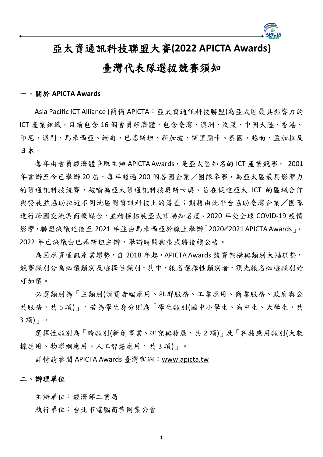

## 亞太資通訊科技聯盟大賽**(2022 APICTA Awards)**

## 臺灣代表隊選拔競賽須知

#### <span id="page-2-0"></span>一、關於 **APICTA Awards**

Asia Pacific ICT Alliance (簡稱 APICTA; 亞太資通訊科技聯盟)為亞太區最具影響力的 ICT 產業組織,目前包含 16 個會員經濟體,包含臺灣、澳洲、汶萊、中國大陸、香港、 印尼、澳門、馬來西亞、緬甸、巴基斯坦、新加坡、斯里蘭卡、泰國、越南、孟加拉及 日本。

每年由會員經濟體爭取主辦 APICTA Awards,是亞太區知名的 ICT 產業競賽, 2001 年首辦至今已舉辦20屆,每年超過200個各國企業/團隊參賽,為亞太區最具影響力 的資通訊科技競賽,被喻為亞太資通訊科技奧斯卡獎。旨在促進亞太 ICT 的區域合作 與發展並協助拉近不同地區對資訊科技上的落差;期藉由此平台協助臺灣企業/團隊 進行跨國交流與商機媒合,並積極拓展亞太市場知名度。2020 年受全球 COVID-19 疫情 影響,聯盟決議延後至 2021 年並由馬來西亞於線上舉辦「2020╱2021 APICTA Awards」。 2022 年已決議由巴基斯坦主辦,舉辦時間與型式將後續公告。

為因應資通訊產業趨勢,自 2018年起,APICTA Awards 競賽架構與類別大幅調整, 競賽類別分為必選類別及選擇性類別,其中,報名選擇性類別者,須先報名必選類別始 可加選。

必選類別為「主類別(消費者端應用、社群服務、工業應用、商業服務、政府與公 共服務,共5項)」,若為學生身分則為「學生類別(國中小學生、高中生、大學生,共 3 項)」。

選擇性類別為「跨類別(新創事業、研究與發展,共 2 項)」及「科技應用類別(大數 據應用、物聯網應用、人工智慧應用,共3項)」。

詳情請參閱 APICTA Awards 臺灣官網:[www.apicta.tw](http://www.apicta.tw/)

#### <span id="page-2-1"></span>二、辦理單位

主辦單位:經濟部工業局

執行單位:台北市電腦商業同業公會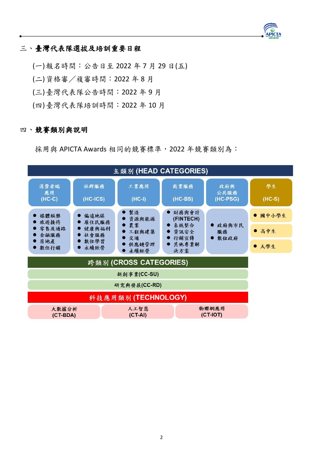## APICTA

### <span id="page-3-0"></span>三、臺灣代表隊選拔及培訓重要日程

(一)報名時間:公告日至 2022 年 7 月 29 日(五) (二)資格審/複審時間:2022 年 8 月 (三)臺灣代表隊公告時間:2022 年 9 月 (四)臺灣代表隊培訓時間:2022 年 10 月

#### <span id="page-3-1"></span>四、競賽類別與說明

採用與 APICTA Awards 相同的競賽標準, 2022 年競賽類別為:

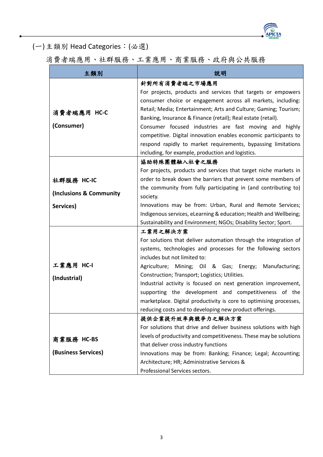

(一)主類別 Head Categories:(必選)

消費者端應用、社群服務、工業應用、商業服務、政府與公共服務

| 主類別                     | 說明                                                                                     |
|-------------------------|----------------------------------------------------------------------------------------|
|                         | 針對所有消費者端之市場應用                                                                          |
|                         | For projects, products and services that targets or empowers                           |
|                         | consumer choice or engagement across all markets, including:                           |
| 消費者端應用 HC-C             | Retail; Media; Entertainment; Arts and Culture; Gaming; Tourism;                       |
|                         | Banking, Insurance & Finance (retail); Real estate (retail).                           |
| (Consumer)              | Consumer focused industries are fast moving and highly                                 |
|                         | competitive. Digital innovation enables economic participants to                       |
|                         | respond rapidly to market requirements, bypassing limitations                          |
|                         | including, for example, production and logistics.                                      |
|                         | 協助特殊團體融入社會之服務                                                                          |
|                         | For projects, products and services that target niche markets in                       |
| 社群服務 HC-IC              | order to break down the barriers that prevent some members of                          |
| (Inclusions & Community | the community from fully participating in (and contributing to)                        |
|                         | society.                                                                               |
| Services)               | Innovations may be from: Urban, Rural and Remote Services;                             |
|                         | Indigenous services, eLearning & education; Health and Wellbeing;                      |
|                         | Sustainability and Environment; NGOs; Disability Sector; Sport.                        |
|                         | 工業用之解決方案                                                                               |
|                         | For solutions that deliver automation through the integration of                       |
|                         | systems, technologies and processes for the following sectors                          |
| 工業應用 HC-I               | includes but not limited to:                                                           |
|                         | Agriculture; Mining; Oil & Gas; Energy;<br>Manufacturing;                              |
| (Industrial)            | Construction; Transport; Logistics; Utilities.                                         |
|                         | Industrial activity is focused on next generation improvement,                         |
|                         | supporting the development and competitiveness of the                                  |
|                         | marketplace. Digital productivity is core to optimising processes,                     |
|                         | reducing costs and to developing new product offerings.                                |
|                         | 提供企業提升效率與競爭力之解決方案<br>For solutions that drive and deliver business solutions with high |
|                         | levels of productivity and competitiveness. These may be solutions                     |
| 商業服務 HC-BS              | that deliver cross industry functions                                                  |
| (Business Services)     | Innovations may be from: Banking; Finance; Legal; Accounting;                          |
|                         | Architecture; HR; Administrative Services &                                            |
|                         | Professional Services sectors.                                                         |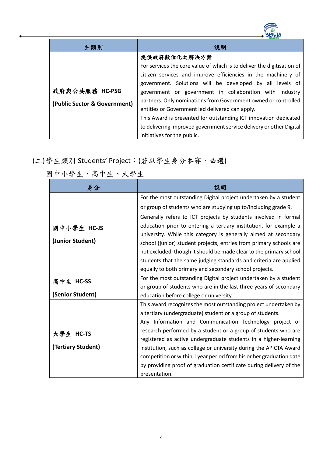| 主類別                          | 說明                                                                     |
|------------------------------|------------------------------------------------------------------------|
|                              | 提供政府數位化之解決方案                                                           |
|                              | For services the core value of which is to deliver the digitisation of |
|                              | citizen services and improve efficiencies in the machinery of          |
|                              | government. Solutions will be developed by all levels of               |
| 政府與公共服務 HC-PSG               | government or government in collaboration with industry                |
| (Public Sector & Government) | partners. Only nominations from Government owned or controlled         |
|                              | entities or Government led delivered can apply.                        |
|                              | This Award is presented for outstanding ICT innovation dedicated       |
|                              | to delivering improved government service delivery or other Digital    |
|                              | initiatives for the public.                                            |

## (二)學生類別 Students' Project:(若以學生身分參賽,必選)

| 身分                 | 說明                                                                  |
|--------------------|---------------------------------------------------------------------|
|                    | For the most outstanding Digital project undertaken by a student    |
|                    | or group of students who are studying up to/including grade 9.      |
|                    | Generally refers to ICT projects by students involved in formal     |
| 國中小學生 HC-JS        | education prior to entering a tertiary institution, for example a   |
|                    | university. While this category is generally aimed at secondary     |
| (Junior Student)   | school (junior) student projects, entries from primary schools are  |
|                    | not excluded, though it should be made clear to the primary school  |
|                    | students that the same judging standards and criteria are applied   |
|                    | equally to both primary and secondary school projects.              |
| 高中生 HC-SS          | For the most outstanding Digital project undertaken by a student    |
|                    | or group of students who are in the last three years of secondary   |
| (Senior Student)   | education before college or university.                             |
|                    | This award recognizes the most outstanding project undertaken by    |
|                    | a tertiary (undergraduate) student or a group of students.          |
|                    | Any Information and Communication Technology project or             |
| 大學生 HC-TS          | research performed by a student or a group of students who are      |
|                    | registered as active undergraduate students in a higher-learning    |
| (Tertiary Student) | institution, such as college or university during the APICTA Award  |
|                    | competition or within 1 year period from his or her graduation date |
|                    | by providing proof of graduation certificate during delivery of the |
|                    | presentation.                                                       |

國中小學生、高中生、大學生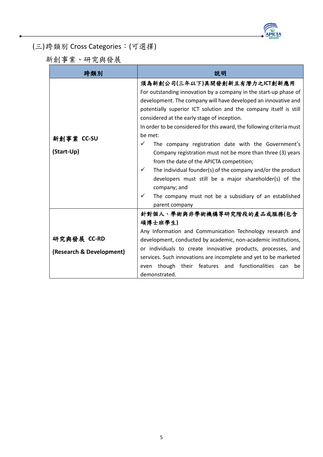

(三)跨類別 Cross Categories:(可選擇)

新創事業、研究與發展

| 跨類別                      | 說明                                                                                                                                                                                                                                                                                                                                                                                                                                                                                                                                                                                                                                                                                                                                                                                                     |
|--------------------------|--------------------------------------------------------------------------------------------------------------------------------------------------------------------------------------------------------------------------------------------------------------------------------------------------------------------------------------------------------------------------------------------------------------------------------------------------------------------------------------------------------------------------------------------------------------------------------------------------------------------------------------------------------------------------------------------------------------------------------------------------------------------------------------------------------|
| 新創事業 CC-SU<br>(Start-Up) | 須為新創公司(三年以下)具開發創新且有潛力之ICT創新應用<br>For outstanding innovation by a company in the start-up phase of<br>development. The company will have developed an innovative and<br>potentially superior ICT solution and the company itself is still<br>considered at the early stage of inception.<br>In order to be considered for this award, the following criteria must<br>be met:<br>✓<br>The company registration date with the Government's<br>Company registration must not be more than three (3) years<br>from the date of the APICTA competition;<br>$\checkmark$<br>The individual founder(s) of the company and/or the product<br>developers must still be a major shareholder(s) of the<br>company; and<br>$\checkmark$<br>The company must not be a subsidiary of an established<br>parent company |
| 研究與發展 CC-RD              | 針對個人、學術與非學術機構等研究階段的產品或服務(包含<br>碩博士班學生)<br>Any Information and Communication Technology research and<br>development, conducted by academic, non-academic institutions,                                                                                                                                                                                                                                                                                                                                                                                                                                                                                                                                                                                                                                  |
| (Research & Development) | or individuals to create innovative products, processes, and<br>services. Such innovations are incomplete and yet to be marketed<br>though their features and functionalities<br>can<br>be<br>even<br>demonstrated.                                                                                                                                                                                                                                                                                                                                                                                                                                                                                                                                                                                    |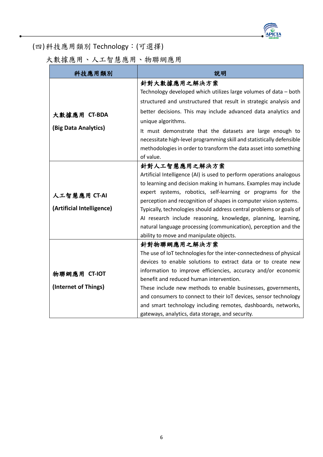

(四)科技應用類別 Technology:(可選擇)

大數據應用、人工智慧應用、物聯網應用

<span id="page-7-0"></span>

| 科技應用類別                    | 說明                                                                    |
|---------------------------|-----------------------------------------------------------------------|
|                           | 針對大數據應用之解決方案                                                          |
|                           | Technology developed which utilizes large volumes of data - both      |
|                           | structured and unstructured that result in strategic analysis and     |
| 大數據應用 CT-BDA              | better decisions. This may include advanced data analytics and        |
|                           | unique algorithms.                                                    |
| (Big Data Analytics)      | It must demonstrate that the datasets are large enough to             |
|                           | necessitate high-level programming skill and statistically defensible |
|                           | methodologies in order to transform the data asset into something     |
|                           | of value.                                                             |
|                           | 針對人工智慧應用之解決方案                                                         |
|                           | Artificial Intelligence (AI) is used to perform operations analogous  |
|                           | to learning and decision making in humans. Examples may include       |
| 人工智慧應用 CT-AI              | expert systems, robotics, self-learning or programs for the           |
|                           | perception and recognition of shapes in computer vision systems.      |
| (Artificial Intelligence) | Typically, technologies should address central problems or goals of   |
|                           | AI research include reasoning, knowledge, planning, learning,         |
|                           | natural language processing (communication), perception and the       |
|                           | ability to move and manipulate objects.                               |
|                           | 針對物聯網應用之解決方案                                                          |
|                           | The use of IoT technologies for the inter-connectedness of physical   |
|                           | devices to enable solutions to extract data or to create new          |
| 物聯網應用 CT-IOT              | information to improve efficiencies, accuracy and/or economic         |
|                           | benefit and reduced human intervention.                               |
| (Internet of Things)      | These include new methods to enable businesses, governments,          |
|                           | and consumers to connect to their IoT devices, sensor technology      |
|                           | and smart technology including remotes, dashboards, networks,         |
|                           | gateways, analytics, data storage, and security.                      |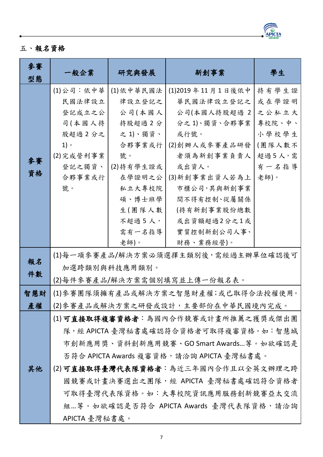

## 五、報名資格

| 參賽<br>型態 | 一般企業                         | 研究與發展     | 新創事業                                     | 學生     |  |  |  |  |
|----------|------------------------------|-----------|------------------------------------------|--------|--|--|--|--|
|          | (1)公司:依中華                    | (1)依中華民國法 | (1)2019年11月1日後依中                         | 持有學生證  |  |  |  |  |
|          | 民國法律設立                       | 律設立登記之    | 華民國法律設立登記之                               | 或在學證明  |  |  |  |  |
|          | 登記成立之公                       | 公司(本國人    | 公司(本國人持股超過 2                             | 之公私立大  |  |  |  |  |
|          | 司(本國人持                       | 持股超過2分    | 分之1)、獨資、合夥事業                             | 專校院、中、 |  |  |  |  |
|          | 股超過2分之                       | 之1)、獨資、   | 或行號。                                     | 小學校學生  |  |  |  |  |
|          | $1)$ $\circ$                 | 合夥事業或行    | (2)創辦人或參賽產品研發                            | (團隊人數不 |  |  |  |  |
| 參賽       | (2)完成營利事業                    | 號。        | 者須為新創事業負責人                               | 超過5人,需 |  |  |  |  |
| 資格       | 登記之獨資、                       | (2)持有學生證或 | 或出資人。                                    | 有一名指導  |  |  |  |  |
|          | 合夥事業或行                       | 在學證明之公    | (3)新創事業出資人若為上                            | 老師)。   |  |  |  |  |
|          | 號。                           | 私立大專校院    | 市櫃公司,其與新創事業                              |        |  |  |  |  |
|          |                              | 碩、博士班學    | 間不得有控制、從屬關係                              |        |  |  |  |  |
|          |                              | 生(團隊人數    | (持有新創事業股份總數                              |        |  |  |  |  |
|          |                              | 不超過 5 人,  | 或出資額超過2分之1或                              |        |  |  |  |  |
|          |                              | 需有一名指導    | 實質控制新創公司人事、                              |        |  |  |  |  |
|          |                              | 老師)。      | 財務、業務經營)。                                |        |  |  |  |  |
| 報名       |                              |           | (1)每一項參賽產品/解決方案必須選擇主類別後,需經過主辦單位確認後可      |        |  |  |  |  |
| 件數       | 加選跨類別與科技應用類別。                |           |                                          |        |  |  |  |  |
|          | (2)每件參賽產品/解決方案需個別填寫並上傳一份報名表。 |           |                                          |        |  |  |  |  |
| 智慧財      |                              |           | (1)參賽團隊須擁有產品或解決方案之智慧財產權;或已取得合法授權使用。      |        |  |  |  |  |
| 產權       |                              |           | (2) 參賽產品或解決方案之研發或設計,主要部份在中華民國境內完成。       |        |  |  |  |  |
|          |                              |           | (1)可直接取得複審資格者:為國內合作競賽或計畫所推薦之獲獎或傑出團       |        |  |  |  |  |
|          |                              |           | 隊,經 APICTA 臺灣秘書處確認符合資格者可取得複審資格。如:智慧城     |        |  |  |  |  |
|          |                              |           | 市創新應用獎、資料創新應用競賽、GO Smart Awards等。如欲確認是   |        |  |  |  |  |
|          |                              |           | 否符合 APICTA Awards 複審資格,請洽詢 APICTA 臺灣秘書處。 |        |  |  |  |  |
| 其他       |                              |           | (2)可直接取得臺灣代表隊資格者:為近三年國內合作且以全英文辦理之跨       |        |  |  |  |  |
|          |                              |           | 國競賽或計畫決賽選出之團隊,經 APICTA 臺灣秘書處確認符合資格者      |        |  |  |  |  |
|          |                              |           | 可取得臺灣代表隊資格。如:大專校院資訊應用服務創新競賽亞太交流          |        |  |  |  |  |
|          |                              |           | 組等。如欲確認是否符合 APICTA Awards 臺灣代表隊資格,請洽詢    |        |  |  |  |  |
|          | APICTA 臺灣秘書處。                |           |                                          |        |  |  |  |  |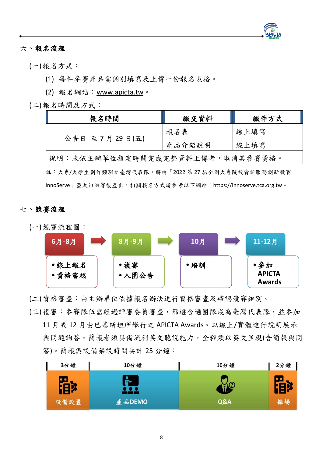

### <span id="page-9-0"></span>六、報名流程

(一)報名方式:

(1) 每件參賽產品需個別填寫及上傳一份報名表格。

(2) 報名網站:[www.apicta.tw](http://www.apicta.tw/)。

(二)報名時間及方式:

| 報名時間                            | 繳交資料   | 繳件方式 |  |  |  |
|---------------------------------|--------|------|--|--|--|
|                                 | 報名表    | 線上填寫 |  |  |  |
| 公告日 至 7 月 29 日(五)               | 產品介紹說明 | 線上填寫 |  |  |  |
| 說明:未依主辦單位指定時間完成完整資料上傳者,取消其參賽資格。 |        |      |  |  |  |

註:大專/大學生創作類別之臺灣代表隊,將由「2022 第 27 屆全國大專院校資訊服務創新競賽 InnoServe」亞太組決賽後產出,相關報名方式請參考以下網站:[https://innoserve.tca.org.tw](https://innoserve.tca.org.tw/)。

#### <span id="page-9-1"></span>七、競賽流程



(二)資格審查:由主辦單位依據報名辦法進行資格審查及確認競賽組別。

(三)複審:參賽隊伍需經過評審委員審查,篩選合適團隊成為臺灣代表隊,並參加 11 月或 12 月由巴基斯坦所舉行之 APICTA Awards。以線上/實體進行說明展示 與問題詢答。簡報者須具備流利英文聽說能力,全程須以英文呈現(含簡報與問 答)。簡報與設備架設時間共計 25分鐘:

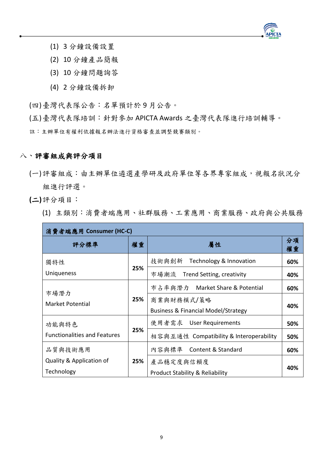

- (1) 3 分鐘設備設置
- (2) 10 分鐘產品簡報
- (3) 10 分鐘問題詢答
- (4) 2 分鐘設備拆卸

(四)臺灣代表隊公告:名單預計於 9 月公告。

(五)臺灣代表隊培訓:針對參加 APICTA Awards 之臺灣代表隊進行培訓輔導。

<span id="page-10-0"></span>註:主辦單位有權利依據報名辦法進行資格審查並調整競賽類別。

### 八、評審組成與評分項目

- (一)評審組成:由主辦單位遴選產學研及政府單位等各界專家組成,視報名狀況分 組進行評選。
- **(**二**)**評分項目:
	- (1) 主類別:消費者端應用、社群服務、工業應用、商業服務、政府與公共服務

| 消費者端應用 Consumer (HC-C)              |     |                                                |          |  |  |
|-------------------------------------|-----|------------------------------------------------|----------|--|--|
| 評分標準                                | 權重  | 屬性                                             | 分項<br>權重 |  |  |
| 獨特性                                 |     | 技術與創新 Technology & Innovation                  | 60%      |  |  |
| Uniqueness                          | 25% | 市場潮流<br>Trend Setting, creativity              | 40%      |  |  |
|                                     |     | 市占率與潛力 Market Share & Potential                | 60%      |  |  |
| 市場潛力<br>Market Potential            | 25% | 商業與財務模式/策略                                     | 40%      |  |  |
|                                     |     | <b>Business &amp; Financial Model/Strategy</b> |          |  |  |
| 功能與特色                               | 25% | 使用者需求 User Requirements                        | 50%      |  |  |
| <b>Functionalities and Features</b> |     | 相容與互通性 Compatibility & Interoperability        | 50%      |  |  |
| 品質與技術應用                             |     | 內容與標準 Content & Standard                       | 60%      |  |  |
| Quality & Application of            | 25% | 產品穩定度與信賴度                                      |          |  |  |
| Technology                          |     | <b>Product Stability &amp; Reliability</b>     | 40%      |  |  |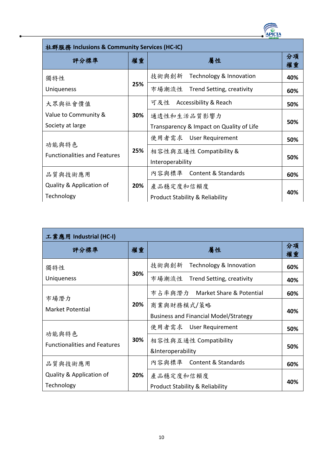

| 社群服務 Inclusions & Community Services (HC-IC) |     |                                          |          |  |  |
|----------------------------------------------|-----|------------------------------------------|----------|--|--|
| 評分標準                                         | 權重  | 屬性                                       | 分項<br>權重 |  |  |
| 獨特性                                          |     | Technology & Innovation<br>技術與創新         | 40%      |  |  |
| Uniqueness                                   | 25% | 市場潮流性<br>Trend Setting, creativity       | 60%      |  |  |
| 大眾與社會價值                                      |     | Accessibility & Reach<br>可及性             | 50%      |  |  |
| Value to Community &                         | 30% | 通透性和生活品質影響力                              |          |  |  |
| Society at large                             |     | Transparency & Impact on Quality of Life | 50%      |  |  |
| 功能與特色                                        |     | 使用者需求 User Requirement                   | 50%      |  |  |
| <b>Functionalities and Features</b>          | 25% | 相容性與互通性 Compatibility &                  |          |  |  |
|                                              |     | Interoperability                         | 50%      |  |  |
| 品質與技術應用                                      |     | 內容與標準 Content & Standards                | 60%      |  |  |
| Quality & Application of                     | 20% | 產品穩定度和信賴度                                |          |  |  |
| Technology                                   |     | Product Stability & Reliability          | 40%      |  |  |

| 工業應用 Industrial (HC-I)              |     |                                              |          |  |  |
|-------------------------------------|-----|----------------------------------------------|----------|--|--|
| 評分標準                                | 權重  | 屬性                                           | 分項<br>權重 |  |  |
| 獨特性                                 |     | Technology & Innovation<br>技術與創新             | 60%      |  |  |
| <b>Uniqueness</b>                   | 30% | 市場潮流性<br>Trend Setting, creativity           | 40%      |  |  |
|                                     |     | 市占率與潛力 Market Share & Potential              | 60%      |  |  |
| 市場潛力<br>Market Potential            | 20% | 商業與財務模式/策略                                   |          |  |  |
|                                     |     | <b>Business and Financial Model/Strategy</b> | 40%      |  |  |
| 功能與特色                               |     | 使用者需求 User Requirement                       | 50%      |  |  |
| <b>Functionalities and Features</b> | 30% | 相容性與互通性 Compatibility                        |          |  |  |
|                                     |     | &Interoperability                            | 50%      |  |  |
| 品質與技術應用                             |     | 內容與標準 Content & Standards                    | 60%      |  |  |
| Quality & Application of            | 20% | 產品穩定度和信賴度                                    |          |  |  |
| Technology                          |     | <b>Product Stability &amp; Reliability</b>   | 40%      |  |  |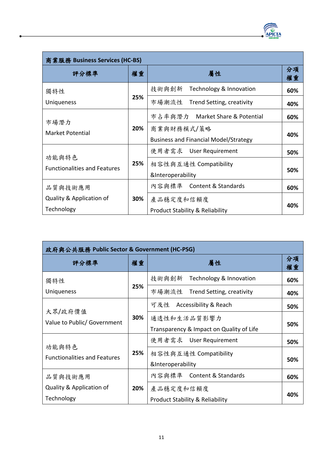

| 商業服務 Business Services (HC-BS)               |     |                                                            |          |  |  |
|----------------------------------------------|-----|------------------------------------------------------------|----------|--|--|
| 評分標準                                         | 權重  | 屬性                                                         | 分項<br>權重 |  |  |
| 獨特性                                          |     | Technology & Innovation<br>技術與創新                           | 60%      |  |  |
| Uniqueness                                   | 25% | 市場潮流性<br>Trend Setting, creativity                         | 40%      |  |  |
|                                              |     | 市占率與潛力 Market Share & Potential                            | 60%      |  |  |
| 市場潛力<br>Market Potential                     | 20% | 商業與財務模式/策略<br><b>Business and Financial Model/Strategy</b> | 40%      |  |  |
|                                              |     | 使用者需求 User Requirement                                     | 50%      |  |  |
| 功能與特色<br><b>Functionalities and Features</b> | 25% | 相容性與互通性 Compatibility<br>&Interoperability                 | 50%      |  |  |
| 品質與技術應用                                      |     | 內容與標準 Content & Standards                                  | 60%      |  |  |
| Quality & Application of<br>Technology       | 30% | 產品穩定度和信賴度<br><b>Product Stability &amp; Reliability</b>    | 40%      |  |  |

| 政府與公共服務 Public Sector & Government (HC-PSG) |     |                                            |          |
|---------------------------------------------|-----|--------------------------------------------|----------|
| 評分標準                                        | 權重  | 屬性                                         | 分項<br>權重 |
| 獨特性                                         |     | Technology & Innovation<br>技術與創新           | 60%      |
| Uniqueness                                  | 25% | 市場潮流性<br>Trend Setting, creativity         | 40%      |
|                                             |     | Accessibility & Reach<br>可及性               | 50%      |
| 大眾/政府價值<br>Value to Public/ Government      | 30% | 通透性和生活品質影響力                                |          |
|                                             |     | Transparency & Impact on Quality of Life   | 50%      |
| 功能與特色                                       |     | 使用者需求 User Requirement                     | 50%      |
| <b>Functionalities and Features</b>         | 25% | 相容性與互通性 Compatibility                      |          |
|                                             |     | &Interoperability                          | 50%      |
| 品質與技術應用                                     |     | 內容與標準 Content & Standards                  | 60%      |
| Quality & Application of                    | 20% | 產品穩定度和信賴度                                  |          |
| Technology                                  |     | <b>Product Stability &amp; Reliability</b> | 40%      |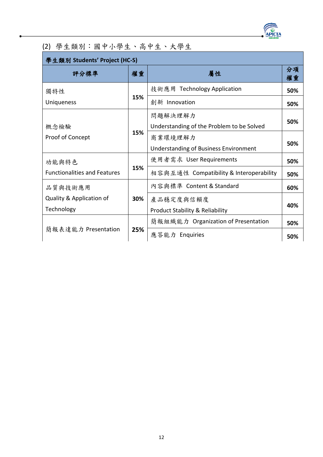

## (2) 學生類別:國中小學生、高中生、大學生

| 學生類別 Students' Project (HC-S)          |     |                                                         |          |
|----------------------------------------|-----|---------------------------------------------------------|----------|
| 評分標準                                   | 權重  | 屬性                                                      | 分項<br>權重 |
| 獨特性                                    |     | 技術應用 Technology Application                             | 50%      |
| <b>Uniqueness</b>                      | 15% | 創新 Innovation                                           | 50%      |
| 概念檢驗                                   | 15% | 問題解決理解力<br>Understanding of the Problem to be Solved    | 50%      |
| Proof of Concept                       |     | 商業環境理解力<br><b>Understanding of Business Environment</b> | 50%      |
| 功能與特色                                  |     | 使用者需求 User Requirements                                 | 50%      |
| <b>Functionalities and Features</b>    | 15% | 相容與互通性 Compatibility & Interoperability                 | 50%      |
| 品质與技術應用                                |     | 內容與標準 Content & Standard                                | 60%      |
| Quality & Application of<br>Technology | 30% | 產品穩定度與信賴度<br><b>Product Stability &amp; Reliability</b> | 40%      |
|                                        |     | 簡報組織能力 Organization of Presentation                     | 50%      |
| 簡報表達能力 Presentation                    | 25% | 應答能力 Enquiries                                          | 50%      |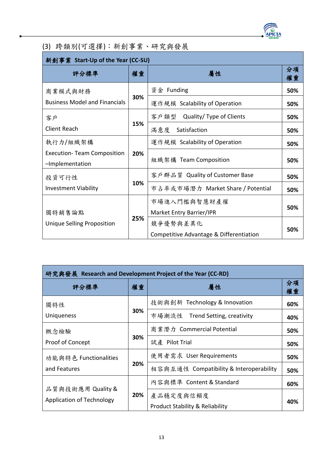

(3) 跨類別(可選擇):新創事業、研究與發展

| 新創事業 Start-Up of the Year (CC-SU)                     |     |                                         |          |
|-------------------------------------------------------|-----|-----------------------------------------|----------|
| 評分標準                                                  | 權重  | 屬性                                      | 分項<br>權重 |
| 商業模式與財務                                               |     | 資金 Funding                              | 50%      |
| <b>Business Model and Financials</b>                  | 30% | 運作規模 Scalability of Operation           | 50%      |
| 客户                                                    |     | 客戶類型<br>Quality/ Type of Clients        | 50%      |
| <b>Client Reach</b>                                   | 15% | 滿意度<br>Satisfaction                     | 50%      |
| 執行力/組織架構                                              |     | 運作規模 Scalability of Operation           | 50%      |
| <b>Execution- Team Composition</b><br>-Implementation | 20% | 組織架構 Team Composition                   | 50%      |
| 投資可行性                                                 |     | 客戶群品質 Quality of Customer Base          | 50%      |
| <b>Investment Viability</b>                           | 10% | 市占率或市場潛力 Market Share / Potential       | 50%      |
|                                                       |     | 市場進入門檻與智慧財產權                            |          |
| 獨特銷售論點                                                |     | Market Entry Barrier/IPR                | 50%      |
| Unique Selling Proposition                            | 25% | 競爭優勢與差異化                                |          |
|                                                       |     | Competitive Advantage & Differentiation | 50%      |

| 研究與發展 Research and Development Project of the Year (CC-RD) |     |                                            |          |
|------------------------------------------------------------|-----|--------------------------------------------|----------|
| 評分標準                                                       | 權重  | 屬性                                         | 分項<br>權重 |
| 獨特性                                                        |     | 技術與創新 Technology & Innovation              | 60%      |
| <b>Uniqueness</b>                                          | 30% | 市場潮流性 Trend Setting, creativity            | 40%      |
| 概念檢驗                                                       |     | 商業潛力 Commercial Potential                  | 50%      |
| Proof of Concept                                           | 30% | 試産 Pilot Trial                             | 50%      |
| 功能與特色 Functionalities                                      |     | 使用者需求 User Requirements                    | 50%      |
| and Features                                               | 20% | 相容與互通性 Compatibility & Interoperability    | 50%      |
|                                                            |     | 內容與標準 Content & Standard                   | 60%      |
| 品質與技術應用 Quality &<br><b>Application of Technology</b>      | 20% | 產品穩定度與信賴度                                  |          |
|                                                            |     | <b>Product Stability &amp; Reliability</b> | 40%      |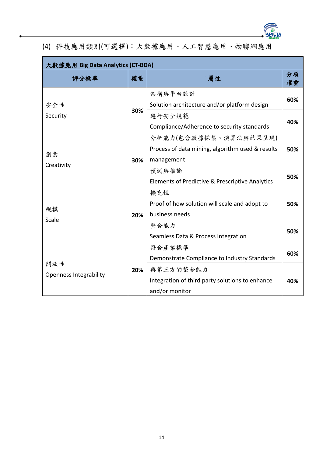

## (4) 科技應用類別(可選擇):大數據應用、人工智慧應用、物聯網應用

| 大數據應用 Big Data Analytics (CT-BDA)    |     |                                                                                                                                                                          |            |
|--------------------------------------|-----|--------------------------------------------------------------------------------------------------------------------------------------------------------------------------|------------|
| 評分標準                                 | 權重  | 屬性                                                                                                                                                                       | 分項<br>權重   |
| 安全性<br>Security                      | 30% | 架構與平台設計<br>Solution architecture and/or platform design<br>遵行安全規範<br>Compliance/Adherence to security standards                                                          | 60%<br>40% |
| 創意<br>Creativity                     | 30% | 分析能力(包含數據採集、演算法與結果呈現)<br>Process of data mining, algorithm used & results<br>management<br>預測與推論                                                                         | 50%<br>50% |
| 規模<br>Scale                          | 20% | Elements of Predictive & Prescriptive Analytics<br>擴充性<br>Proof of how solution will scale and adopt to<br>business needs<br>整合能力<br>Seamless Data & Process Integration | 50%<br>50% |
| 開放性<br><b>Openness Integrability</b> | 20% | 符合產業標準<br>Demonstrate Compliance to Industry Standards<br>與第三方的整合能力<br>Integration of third party solutions to enhance<br>and/or monitor                                 | 60%<br>40% |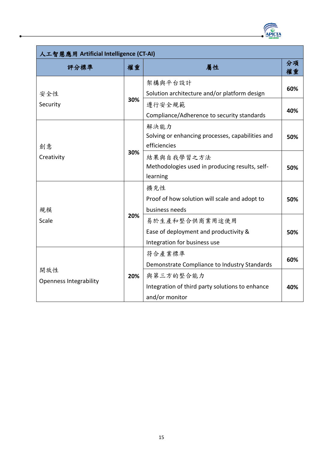

| 人工智慧應用 Artificial Intelligence (CT-AI) |     |                                                                                                                                          |            |
|----------------------------------------|-----|------------------------------------------------------------------------------------------------------------------------------------------|------------|
| 評分標準                                   | 權重  | 屬性                                                                                                                                       | 分項<br>權重   |
| 安全性<br>Security                        | 30% | 架構與平台設計<br>Solution architecture and/or platform design<br>遵行安全規範<br>Compliance/Adherence to security standards                          | 60%<br>40% |
| 創意<br>Creativity                       | 30% | 解決能力<br>Solving or enhancing processes, capabilities and<br>efficiencies                                                                 | 50%        |
|                                        |     | 結果與自我學習之方法<br>Methodologies used in producing results, self-<br>learning                                                                 | 50%        |
| 規模                                     | 20% | 擴充性<br>Proof of how solution will scale and adopt to<br>business needs                                                                   | 50%        |
| Scale                                  |     | 易於生產和整合供商業用途使用<br>Ease of deployment and productivity &<br>Integration for business use                                                  | 50%        |
| 開放性<br><b>Openness Integrability</b>   | 20% | 符合產業標準<br>Demonstrate Compliance to Industry Standards<br>與第三方的整合能力<br>Integration of third party solutions to enhance<br>and/or monitor | 60%<br>40% |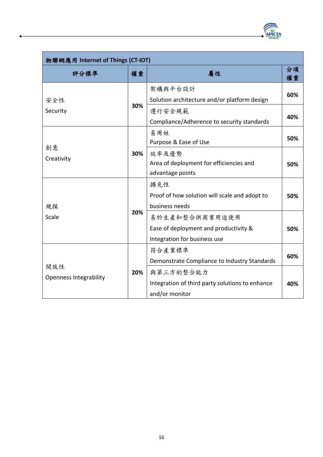

| 物聯網應用 Internet of Things (CT-IOT)    |     |                                                                                                                 |            |
|--------------------------------------|-----|-----------------------------------------------------------------------------------------------------------------|------------|
| 評分標準                                 | 權重  | 屬性                                                                                                              | 分項<br>權重   |
| 安全性<br>Security                      | 30% | 架構與平台設計<br>Solution architecture and/or platform design<br>遵行安全規範<br>Compliance/Adherence to security standards | 60%<br>40% |
| 創意<br>Creativity                     | 30% | 易用姓<br>Purpose & Ease of Use                                                                                    | 50%        |
|                                      |     | 效率及優勢<br>Area of deployment for efficiencies and<br>advantage points                                            | 50%        |
| 規模                                   |     | 擴充性<br>Proof of how solution will scale and adopt to<br>business needs                                          | 50%        |
| Scale                                | 20% | 易於生產和整合供商業用途使用<br>Ease of deployment and productivity &<br>Integration for business use                         | 50%        |
| 開放性<br><b>Openness Integrability</b> | 20% | 符合產業標準<br>Demonstrate Compliance to Industry Standards<br>與第三方的整合能力                                             | 60%        |
|                                      |     | Integration of third party solutions to enhance<br>and/or monitor                                               | 40%        |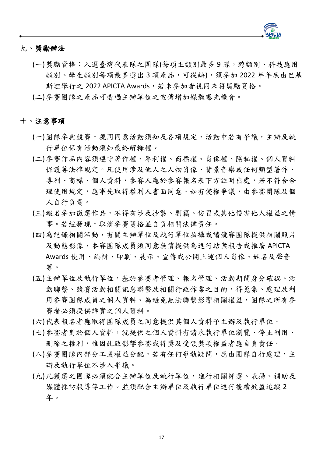

#### <span id="page-18-0"></span>九、獎勵辦法

- (一)獎勵資格:入選臺灣代表隊之團隊(每項主類別最多 9 隊,跨類別、科技應用 類別、學生類別每項最多選出3項產品,可從缺),須參加2022年年底由巴基 斯坦舉行之 2022 APICTA Awards,若未參加者視同未符獎勵資格。
- <span id="page-18-1"></span>(二)參賽團隊之產品可透過主辦單位之宣傳增加媒體曝光機會。

#### 十、注意事項

- (一)團隊參與競賽,視同同意活動須知及各項規定,活動中若有爭議,主辦及執 行單位保有活動須知最終解釋權。
- (二)參賽作品內容須遵守著作權、專利權、商標權、肖像權、隱私權、個人資料 保護等法律規定。凡使用涉及他人之人物肖像、背景音樂或任何類型著作、 專利、商標、個人資料,參賽人應於參賽報名表下方註明出處,若不符合合 理使用規定,應事先取得權利人書面同意。如有侵權爭議,由參賽團隊及個 人自行負責。
- (三)報名參加徵選作品,不得有涉及抄襲、剽竊、仿冒或其他侵害他人權益之情 事。若經發現,取消參賽資格並自負相關法律責任。
- (四)為記錄相關活動,有關主辦單位及執行單位拍攝或請競賽團隊提供相關照片 及動態影像,參賽團隊成員須同意無償提供為進行結案報告或推廣 APICTA Awards 使用、編輯、印刷、展示、宣傳或公開上述個人肖像、姓名及聲音 等。
- (五)主辦單位及執行單位,基於參賽者管理、報名管理、活動期間身分確認、活 動聯繫、競賽活動相關訊息聯繫及相關行政作業之目的,得蒐集、處理及利 用參賽團隊成員之個人資料。為避免無法聯繫影響相關權益,團隊之所有參 賽者必須提供詳實之個人資料。
- (六)代表報名者應取得團隊成員之同意提供其個人資料予主辦及執行單位。
- (七)參賽者對於個人資料,就提供之個人資料有請求執行單位瀏覽、停止利用、 刪除之權利,惟因此致影響參賽或得獎及受領獎項權益者應自負責任。
- (八)參賽團隊內部分工或權益分配,若有任何爭執疑問,應由團隊自行處理,主 辦及執行單位不涉入爭議。
- (九)凡獲選之團隊必須配合主辦單位及執行單位,進行相關評選、表揚、補助及 媒體採訪報導等工作。並須配合主辦單位及執行單位進行後續效益追蹤 2 年。